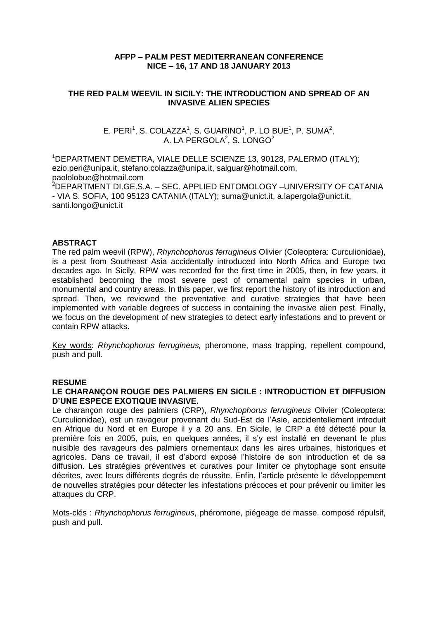## **AFPP – PALM PEST MEDITERRANEAN CONFERENCE NICE – 16, 17 AND 18 JANUARY 2013**

## **THE RED PALM WEEVIL IN SICILY: THE INTRODUCTION AND SPREAD OF AN INVASIVE ALIEN SPECIES**

## E. PERI<sup>1</sup>, S. COLAZZA<sup>1</sup>, S. GUARINO<sup>1</sup>, P. LO BUE<sup>1</sup>, P. SUMA<sup>2</sup>, A. LA PERGOLA<sup>2</sup>, S. LONGO<sup>2</sup>

<sup>1</sup>DEPARTMENT DEMETRA, VIALE DELLE SCIENZE 13, 90128, PALERMO (ITALY); [ezio.peri@unipa.it,](mailto:ezio.peri@unipa.it) [stefano.colazza@unipa.it,](mailto:stefano.colazza@unipa.it) salguar@hotmail.com, paololobue@hotmail.com <sup>2</sup>DEPARTMENT DI.GE.S.A. – SEC. APPLIED ENTOMOLOGY –UNIVERSITY OF CATANIA - VIA S. SOFIA, 100 95123 CATANIA (ITALY); [suma@unict.it,](mailto:suma@unict.it) [a.lapergola@unict.it,](mailto:a.lapergola@unict.it) [santi.longo@unict.it](mailto:santi.longo@unict.it)

## **ABSTRACT**

The red palm weevil (RPW), *Rhynchophorus ferrugineus* Olivier (Coleoptera: Curculionidae), is a pest from Southeast Asia accidentally introduced into North Africa and Europe two decades ago. In Sicily, RPW was recorded for the first time in 2005, then, in few years, it established becoming the most severe pest of ornamental palm species in urban, monumental and country areas. In this paper, we first report the history of its introduction and spread. Then, we reviewed the preventative and curative strategies that have been implemented with variable degrees of success in containing the invasive alien pest. Finally, we focus on the development of new strategies to detect early infestations and to prevent or contain RPW attacks.

Key words: *Rhynchophorus ferrugineus,* pheromone, mass trapping, repellent compound, push and pull.

#### **RESUME**

## **LE CHARANÇON ROUGE DES PALMIERS EN SICILE : INTRODUCTION ET DIFFUSION D'UNE ESPECE EXOTIQUE INVASIVE.**

Le charançon rouge des palmiers (CRP), *Rhynchophorus ferrugineus* Olivier (Coleoptera: Curculionidae), est un ravageur provenant du Sud-Est de l'Asie, accidentellement introduit en Afrique du Nord et en Europe il y a 20 ans. En Sicile, le CRP a été détecté pour la première fois en 2005, puis, en quelques années, il s'y est installé en devenant le plus nuisible des ravageurs des palmiers ornementaux dans les aires urbaines, historiques et agricoles. Dans ce travail, il est d'abord exposé l'histoire de son introduction et de sa diffusion. Les stratégies préventives et curatives pour limiter ce phytophage sont ensuite décrites, avec leurs différents degrés de réussite. Enfin, l'article présente le développement de nouvelles stratégies pour détecter les infestations précoces et pour prévenir ou limiter les attaques du CRP.

Mots-clés : *Rhynchophorus ferrugineus*, phéromone, piégeage de masse, composé répulsif, push and pull.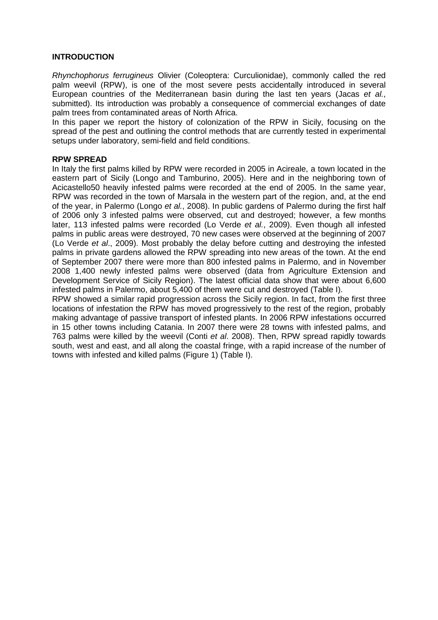## **INTRODUCTION**

*Rhynchophorus ferrugineus* Olivier (Coleoptera: Curculionidae), commonly called the red palm weevil (RPW), is one of the most severe pests accidentally introduced in several European countries of the Mediterranean basin during the last ten years (Jacas *et al.*, submitted). Its introduction was probably a consequence of commercial exchanges of date palm trees from contaminated areas of North Africa.

In this paper we report the history of colonization of the RPW in Sicily, focusing on the spread of the pest and outlining the control methods that are currently tested in experimental setups under laboratory, semi-field and field conditions.

#### **RPW SPREAD**

In Italy the first palms killed by RPW were recorded in 2005 in Acireale, a town located in the eastern part of Sicily (Longo and Tamburino, 2005). Here and in the neighboring town of Acicastello50 heavily infested palms were recorded at the end of 2005. In the same year, RPW was recorded in the town of Marsala in the western part of the region, and, at the end of the year, in Palermo (Longo *et al.*, 2008). In public gardens of Palermo during the first half of 2006 only 3 infested palms were observed, cut and destroyed; however, a few months later, 113 infested palms were recorded (Lo Verde *et al.*, 2009). Even though all infested palms in public areas were destroyed, 70 new cases were observed at the beginning of 2007 (Lo Verde *et al*., 2009). Most probably the delay before cutting and destroying the infested palms in private gardens allowed the RPW spreading into new areas of the town. At the end of September 2007 there were more than 800 infested palms in Palermo, and in November 2008 1,400 newly infested palms were observed (data from Agriculture Extension and Development Service of Sicily Region). The latest official data show that were about 6,600 infested palms in Palermo, about 5,400 of them were cut and destroyed (Table I).

RPW showed a similar rapid progression across the Sicily region. In fact, from the first three locations of infestation the RPW has moved progressively to the rest of the region, probably making advantage of passive transport of infested plants. In 2006 RPW infestations occurred in 15 other towns including Catania. In 2007 there were 28 towns with infested palms, and 763 palms were killed by the weevil (Conti *et al*. 2008). Then, RPW spread rapidly towards south, west and east, and all along the coastal fringe, with a rapid increase of the number of towns with infested and killed palms (Figure 1) (Table I).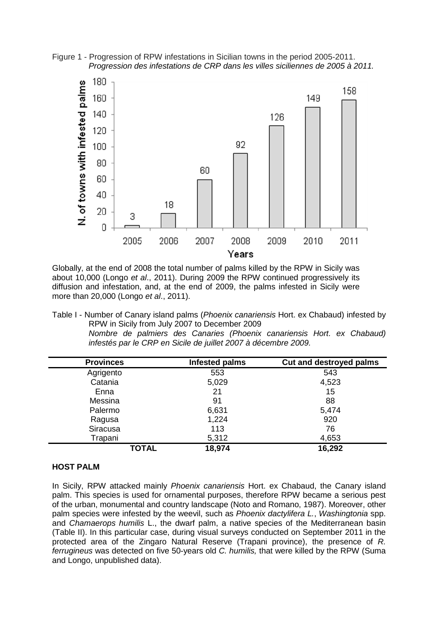Figure 1 - Progression of RPW infestations in Sicilian towns in the period 2005-2011. *Progression des infestations de CRP dans les villes siciliennes de 2005 à 2011.*



Globally, at the end of 2008 the total number of palms killed by the RPW in Sicily was about 10,000 (Longo *et al*., 2011). During 2009 the RPW continued progressively its diffusion and infestation, and, at the end of 2009, the palms infested in Sicily were more than 20,000 (Longo *et al*., 2011).

Table I - Number of Canary island palms (*Phoenix canariensis* Hort. ex Chabaud) infested by RPW in Sicily from July 2007 to December 2009 *Nombre de palmiers des Canaries (Phoenix canariensis Hort. ex Chabaud) infestés par le CRP en Sicile de juillet 2007 à décembre 2009.*

| <b>Provinces</b> | Infested palms | <b>Cut and destroyed palms</b> |
|------------------|----------------|--------------------------------|
| Agrigento        | 553            | 543                            |
| Catania          | 5,029          | 4,523                          |
| Enna             | 21             | 15                             |
| Messina          | 91             | 88                             |
| Palermo          | 6,631          | 5,474                          |
| Ragusa           | 1,224          | 920                            |
| Siracusa         | 113            | 76                             |
| Trapani          | 5,312          | 4,653                          |
| <b>TOTAL</b>     | 18,974         | 16,292                         |

#### **HOST PALM**

In Sicily, RPW attacked mainly *Phoenix canariensis* Hort. ex Chabaud, the Canary island palm. This species is used for ornamental purposes, therefore RPW became a serious pest of the urban, monumental and country landscape (Noto and Romano, 1987). Moreover, other palm species were infested by the weevil, such as *Phoenix dactylifera L.*, *Washingtonia* spp. and *Chamaerops humilis* L., the dwarf palm, a native species of the Mediterranean basin (Table II). In this particular case, during visual surveys conducted on September 2011 in the protected area of the Zingaro Natural Reserve (Trapani province), the presence of *R. ferrugineus* was detected on five 50-years old *C. humilis,* that were killed by the RPW (Suma and Longo, unpublished data).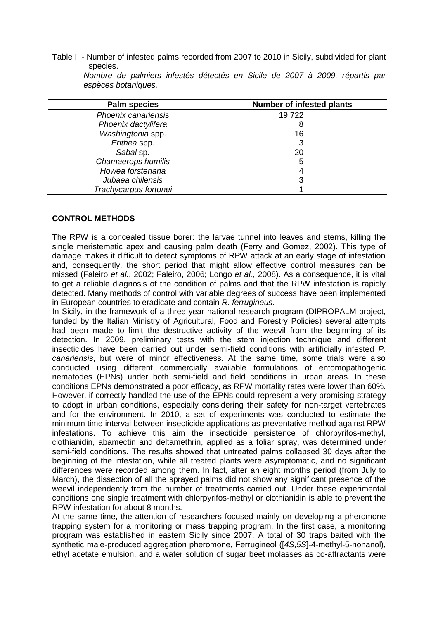Table II - Number of infested palms recorded from 2007 to 2010 in Sicily, subdivided for plant species.

| <b>Palm species</b>   | <b>Number of infested plants</b> |  |  |
|-----------------------|----------------------------------|--|--|
| Phoenix canariensis   | 19,722                           |  |  |
| Phoenix dactylifera   | 8                                |  |  |
| Washingtonia spp.     | 16                               |  |  |
| Erithea spp.          |                                  |  |  |
| Sabal sp.             | 20                               |  |  |
| Chamaerops humilis    | 5                                |  |  |
| Howea forsteriana     |                                  |  |  |
| Jubaea chilensis      | 3                                |  |  |
| Trachycarpus fortunei |                                  |  |  |

*Nombre de palmiers infestés détectés en Sicile de 2007 à 2009, répartis par espèces botaniques.*

# **CONTROL METHODS**

The RPW is a concealed tissue borer: the larvae tunnel into leaves and stems, killing the single meristematic apex and causing palm death (Ferry and Gomez, 2002). This type of damage makes it difficult to detect symptoms of RPW attack at an early stage of infestation and, consequently, the short period that might allow effective control measures can be missed (Faleiro *et al.*, 2002; Faleiro, 2006; Longo *et al.*, 2008). As a consequence, it is vital to get a reliable diagnosis of the condition of palms and that the RPW infestation is rapidly detected. Many methods of control with variable degrees of success have been implemented in European countries to eradicate and contain *R. ferrugineus*.

In Sicily, in the framework of a three-year national research program (DIPROPALM project, funded by the Italian Ministry of Agricultural, Food and Forestry Policies) several attempts had been made to limit the destructive activity of the weevil from the beginning of its detection. In 2009, preliminary tests with the stem injection technique and different insecticides have been carried out under semi-field conditions with artificially infested *P. canariensis*, but were of minor effectiveness. At the same time, some trials were also conducted using different commercially available formulations of entomopathogenic nematodes (EPNs) under both semi-field and field conditions in urban areas. In these conditions EPNs demonstrated a poor efficacy, as RPW mortality rates were lower than 60%. However, if correctly handled the use of the EPNs could represent a very promising strategy to adopt in urban conditions, especially considering their safety for non-target vertebrates and for the environment. In 2010, a set of experiments was conducted to estimate the minimum time interval between insecticide applications as preventative method against RPW infestations. To achieve this aim the insecticide persistence of chlorpyrifos-methyl, clothianidin, abamectin and deltamethrin, applied as a foliar spray, was determined under semi-field conditions. The results showed that untreated palms collapsed 30 days after the beginning of the infestation, while all treated plants were asymptomatic, and no significant differences were recorded among them. In fact, after an eight months period (from July to March), the dissection of all the sprayed palms did not show any significant presence of the weevil independently from the number of treatments carried out. Under these experimental conditions one single treatment with chlorpyrifos-methyl or clothianidin is able to prevent the RPW infestation for about 8 months.

At the same time, the attention of researchers focused mainly on developing a pheromone trapping system for a monitoring or mass trapping program. In the first case, a monitoring program was established in eastern Sicily since 2007. A total of 30 traps baited with the synthetic male-produced aggregation pheromone, Ferrugineol ([*4S*,*5S*]-4-methyl-5-nonanol), ethyl acetate emulsion, and a water solution of sugar beet molasses as co-attractants were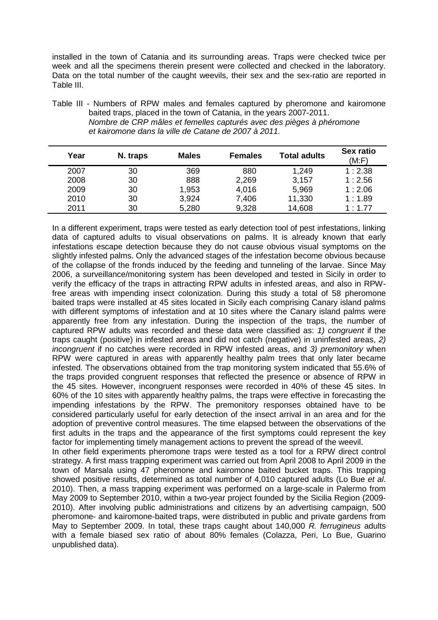installed in the town of Catania and its surrounding areas. Traps were checked twice per week and all the specimens therein present were collected and checked in the laboratory. Data on the total number of the caught weevils, their sex and the sex-ratio are reported in Table III.

Table III - Numbers of RPW males and females captured by pheromone and kairomone baited traps, placed in the town of Catania, in the years 2007-2011. *Nombre de CRP mâles et femelles capturés avec des pièges à phéromone et kairomone dans la ville de Catane de 2007 à 2011.*

| Year | N. traps | <b>Males</b> | <b>Females</b> | <b>Total adults</b> | Sex ratio<br>(M: F) |
|------|----------|--------------|----------------|---------------------|---------------------|
| 2007 | 30       | 369          | 880            | 1,249               | 1:2.38              |
| 2008 | 30       | 888          | 2,269          | 3,157               | 1:2.56              |
| 2009 | 30       | 1,953        | 4,016          | 5,969               | 1:2.06              |
| 2010 | 30       | 3,924        | 7,406          | 11,330              | 1:1.89              |
| 2011 | 30       | 5,280        | 9,328          | 14,608              | 1:1.77              |

In a different experiment, traps were tested as early detection tool of pest infestations, linking data of captured adults to visual observations on palms. It is already known that early infestations escape detection because they do not cause obvious visual symptoms on the slightly infested palms. Only the advanced stages of the infestation become obvious because of the collapse of the fronds induced by the feeding and tunneling of the larvae. Since May 2006, a surveillance/monitoring system has been developed and tested in Sicily in order to verify the efficacy of the traps in attracting RPW adults in infested areas, and also in RPWfree areas with impending insect colonization. During this study a total of 58 pheromone baited traps were installed at 45 sites located in Sicily each comprising Canary island palms with different symptoms of infestation and at 10 sites where the Canary island palms were apparently free from any infestation. During the inspection of the traps, the number of captured RPW adults was recorded and these data were classified as: *1) congruent* if the traps caught (positive) in infested areas and did not catch (negative) in uninfested areas, *2) incongruent* if no catches were recorded in RPW infested areas, and *3) premonitory* when RPW were captured in areas with apparently healthy palm trees that only later became infested. The observations obtained from the trap monitoring system indicated that 55.6% of the traps provided congruent responses that reflected the presence or absence of RPW in the 45 sites. However, incongruent responses were recorded in 40% of these 45 sites. In 60% of the 10 sites with apparently healthy palms, the traps were effective in forecasting the impending infestations by the RPW. The premonitory responses obtained have to be considered particularly useful for early detection of the insect arrival in an area and for the adoption of preventive control measures. The time elapsed between the observations of the first adults in the traps and the appearance of the first symptoms could represent the key factor for implementing timely management actions to prevent the spread of the weevil. In other field experiments pheromone traps were tested as a tool for a RPW direct control

strategy. A first mass trapping experiment was carried out from April 2008 to April 2009 in the town of Marsala using 47 pheromone and kairomone baited bucket traps. This trapping showed positive results, determined as total number of 4,010 captured adults (Lo Bue *et al*. 2010). Then, a mass trapping experiment was performed on a large-scale in Palermo from May 2009 to September 2010, within a two-year project founded by the Sicilia Region (2009- 2010). After involving public administrations and citizens by an advertising campaign, 500 pheromone- and kairomone-baited traps, were distributed in public and private gardens from May to September 2009. In total, these traps caught about 140,000 *R. ferrugineus* adults with a female biased sex ratio of about 80% females (Colazza, Peri, Lo Bue, Guarino unpublished data).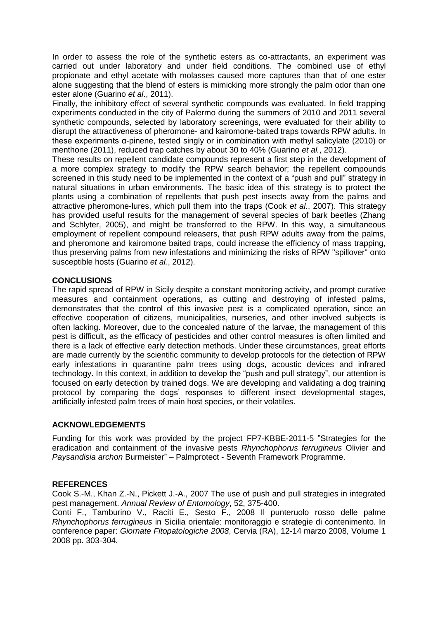In order to assess the role of the synthetic esters as co-attractants, an experiment was carried out under laboratory and under field conditions. The combined use of ethyl propionate and ethyl acetate with molasses caused more captures than that of one ester alone suggesting that the blend of esters is mimicking more strongly the palm odor than one ester alone (Guarino *et al*., 2011).

Finally, the inhibitory effect of several synthetic compounds was evaluated. In field trapping experiments conducted in the city of Palermo during the summers of 2010 and 2011 several synthetic compounds, selected by laboratory screenings, were evaluated for their ability to disrupt the attractiveness of pheromone- and kairomone-baited traps towards RPW adults. In these experiments α-pinene, tested singly or in combination with methyl salicylate (2010) or menthone (2011), reduced trap catches by about 30 to 40% (Guarino *et al.*, 2012).

These results on repellent candidate compounds represent a first step in the development of a more complex strategy to modify the RPW search behavior; the repellent compounds screened in this study need to be implemented in the context of a "push and pull" strategy in natural situations in urban environments. The basic idea of this strategy is to protect the plants using a combination of repellents that push pest insects away from the palms and attractive pheromone-lures, which pull them into the traps (Cook *et al.*, 2007). This strategy has provided useful results for the management of several species of bark beetles (Zhang and Schlyter, 2005), and might be transferred to the RPW. In this way, a simultaneous employment of repellent compound releasers, that push RPW adults away from the palms, and pheromone and kairomone baited traps, could increase the efficiency of mass trapping, thus preserving palms from new infestations and minimizing the risks of RPW "spillover" onto susceptible hosts (Guarino *et al.*, 2012).

## **CONCLUSIONS**

The rapid spread of RPW in Sicily despite a constant monitoring activity, and prompt curative measures and containment operations, as cutting and destroying of infested palms, demonstrates that the control of this invasive pest is a complicated operation, since an effective cooperation of citizens, municipalities, nurseries, and other involved subjects is often lacking. Moreover, due to the concealed nature of the larvae, the management of this pest is difficult, as the efficacy of pesticides and other control measures is often limited and there is a lack of effective early detection methods. Under these circumstances, great efforts are made currently by the scientific community to develop protocols for the detection of RPW early infestations in quarantine palm trees using dogs, acoustic devices and infrared technology. In this context, in addition to develop the "push and pull strategy", our attention is focused on early detection by trained dogs. We are developing and validating a dog training protocol by comparing the dogs' responses to different insect developmental stages, artificially infested palm trees of main host species, or their volatiles.

#### **ACKNOWLEDGEMENTS**

Funding for this work was provided by the project FP7-KBBE-2011-5 "Strategies for the eradication and containment of the invasive pests *Rhynchophorus ferrugineus* Olivier and *Paysandisia archon* Burmeister" – Palmprotect - Seventh Framework Programme.

## **REFERENCES**

Cook S.-M., Khan Z.-N., Pickett J.-A., 2007 The use of push and pull strategies in integrated pest management. *Annual Review of Entomology*, 52, 375-400.

Conti F., Tamburino V., Raciti E., Sesto F., 2008 Il punteruolo rosso delle palme *Rhynchophorus ferrugineus* in Sicilia orientale: monitoraggio e strategie di contenimento. In conference paper: *Giornate Fitopatologiche 2008*, Cervia (RA), 12-14 marzo 2008, Volume 1 2008 pp. 303-304.